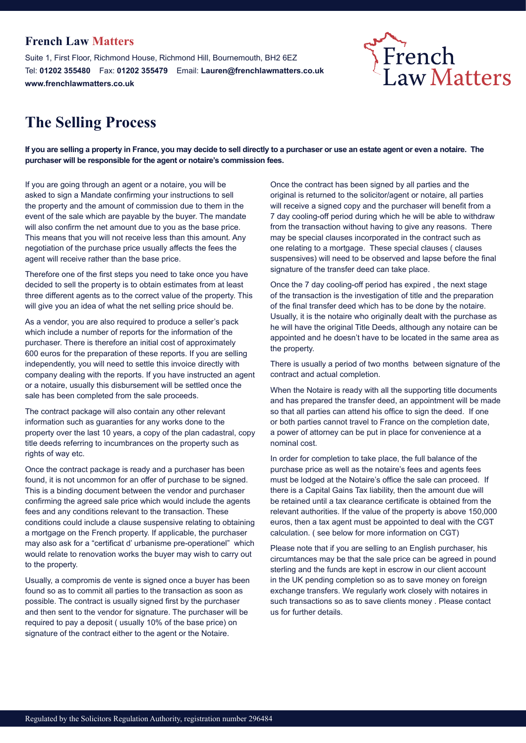### **French Law Matters**

Suite 1, First Floor, Richmond House, Richmond Hill, Bournemouth, BH2 6EZ Tel: **01202 355480** Fax: **01202 355479** Email: **Lauren@frenchlawmatters.co.uk www.frenchlawmatters.co.uk**

# French<br>Law Matters

## **The Selling Process**

**If you are selling a property in France, you may decide to sell directly to a purchaser or use an estate agent or even a notaire. The purchaser will be responsible for the agent or notaire's commission fees.** 

If you are going through an agent or a notaire, you will be asked to sign a Mandate confirming your instructions to sell the property and the amount of commission due to them in the event of the sale which are payable by the buyer. The mandate will also confirm the net amount due to you as the base price. This means that you will not receive less than this amount. Any negotiation of the purchase price usually affects the fees the agent will receive rather than the base price.

Therefore one of the first steps you need to take once you have decided to sell the property is to obtain estimates from at least three different agents as to the correct value of the property. This will give you an idea of what the net selling price should be.

As a vendor, you are also required to produce a seller's pack which include a number of reports for the information of the purchaser. There is therefore an initial cost of approximately 600 euros for the preparation of these reports. If you are selling independently, you will need to settle this invoice directly with company dealing with the reports. If you have instructed an agent or a notaire, usually this disbursement will be settled once the sale has been completed from the sale proceeds.

The contract package will also contain any other relevant information such as guaranties for any works done to the property over the last 10 years, a copy of the plan cadastral, copy title deeds referring to incumbrances on the property such as rights of way etc.

Once the contract package is ready and a purchaser has been found, it is not uncommon for an offer of purchase to be signed. This is a binding document between the vendor and purchaser confirming the agreed sale price which would include the agents fees and any conditions relevant to the transaction. These conditions could include a clause suspensive relating to obtaining a mortgage on the French property. If applicable, the purchaser may also ask for a "certificat d' urbanisme pre-operationel" which would relate to renovation works the buyer may wish to carry out to the property.

Usually, a compromis de vente is signed once a buyer has been found so as to commit all parties to the transaction as soon as possible. The contract is usually signed first by the purchaser and then sent to the vendor for signature. The purchaser will be required to pay a deposit ( usually 10% of the base price) on signature of the contract either to the agent or the Notaire.

Once the contract has been signed by all parties and the original is returned to the solicitor/agent or notaire, all parties will receive a signed copy and the purchaser will benefit from a 7 day cooling-off period during which he will be able to withdraw from the transaction without having to give any reasons. There may be special clauses incorporated in the contract such as one relating to a mortgage. These special clauses ( clauses suspensives) will need to be observed and lapse before the final signature of the transfer deed can take place.

Once the 7 day cooling-off period has expired , the next stage of the transaction is the investigation of title and the preparation of the final transfer deed which has to be done by the notaire. Usually, it is the notaire who originally dealt with the purchase as he will have the original Title Deeds, although any notaire can be appointed and he doesn't have to be located in the same area as the property.

There is usually a period of two months between signature of the contract and actual completion.

When the Notaire is ready with all the supporting title documents and has prepared the transfer deed, an appointment will be made so that all parties can attend his office to sign the deed. If one or both parties cannot travel to France on the completion date, a power of attorney can be put in place for convenience at a nominal cost.

In order for completion to take place, the full balance of the purchase price as well as the notaire's fees and agents fees must be lodged at the Notaire's office the sale can proceed. If there is a Capital Gains Tax liability, then the amount due will be retained until a tax clearance certificate is obtained from the relevant authorities. If the value of the property is above 150,000 euros, then a tax agent must be appointed to deal with the CGT calculation. ( see below for more information on CGT)

Please note that if you are selling to an English purchaser, his circumtances may be that the sale price can be agreed in pound sterling and the funds are kept in escrow in our client account in the UK pending completion so as to save money on foreign exchange transfers. We regularly work closely with notaires in such transactions so as to save clients money . Please contact us for further details.